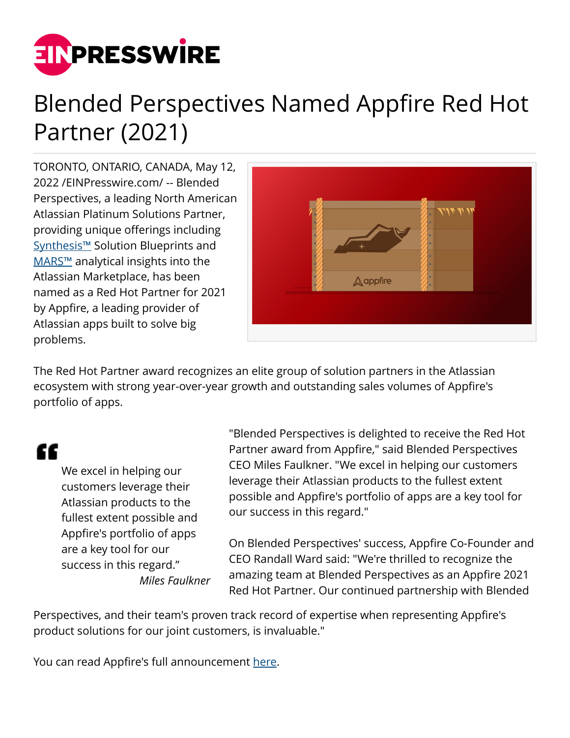

## Blended Perspectives Named Appfire Red Hot Partner (2021)

TORONTO, ONTARIO, CANADA, May 12, 2022 /[EINPresswire.com](http://www.einpresswire.com)/ -- Blended Perspectives, a leading North American Atlassian Platinum Solutions Partner, providing unique offerings including [Synthesis™](http://www.blendedperspectives.com/solutions/) Solution Blueprints and [MARS™](http://www.blendedperspectives.com/mars/) analytical insights into the Atlassian Marketplace, has been named as a Red Hot Partner for 2021 by Appfire, a leading provider of Atlassian apps built to solve big problems.



The Red Hot Partner award recognizes an elite group of solution partners in the Atlassian ecosystem with strong year-over-year growth and outstanding sales volumes of Appfire's portfolio of apps.

## "

We excel in helping our customers leverage their Atlassian products to the fullest extent possible and Appfire's portfolio of apps are a key tool for our success in this regard." *Miles Faulkner*

"Blended Perspectives is delighted to receive the Red Hot Partner award from Appfire," said Blended Perspectives CEO Miles Faulkner. "We excel in helping our customers leverage their Atlassian products to the fullest extent possible and Appfire's portfolio of apps are a key tool for our success in this regard."

On Blended Perspectives' success, Appfire Co-Founder and CEO Randall Ward said: "We're thrilled to recognize the amazing team at Blended Perspectives as an Appfire 2021 Red Hot Partner. Our continued partnership with Blended

Perspectives, and their team's proven track record of expertise when representing Appfire's product solutions for our joint customers, is invaluable."

You can read Appfire's full announcement [here](https://appfire.com/resource/2021-red-hot-partner-awards/).